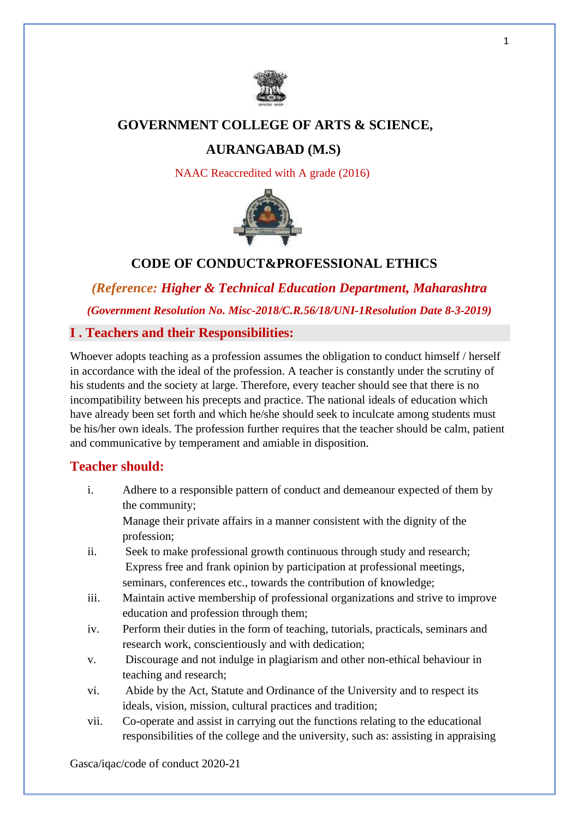

# **GOVERNMENT COLLEGE OF ARTS & SCIENCE,**

# **AURANGABAD (M.S)**

NAAC Reaccredited with A grade (2016)



# **CODE OF CONDUCT&PROFESSIONAL ETHICS**

*(Reference: Higher & Technical Education Department, Maharashtra (Government Resolution No. Misc-2018/C.R.56/18/UNI-1Resolution Date 8-3-2019)*

### **I . Teachers and their Responsibilities:**

Whoever adopts teaching as a profession assumes the obligation to conduct himself / herself in accordance with the ideal of the profession. A teacher is constantly under the scrutiny of his students and the society at large. Therefore, every teacher should see that there is no incompatibility between his precepts and practice. The national ideals of education which have already been set forth and which he/she should seek to inculcate among students must be his/her own ideals. The profession further requires that the teacher should be calm, patient and communicative by temperament and amiable in disposition.

### **Teacher should:**

i. Adhere to a responsible pattern of conduct and demeanour expected of them by the community;

Manage their private affairs in a manner consistent with the dignity of the profession;

- ii. Seek to make professional growth continuous through study and research; Express free and frank opinion by participation at professional meetings, seminars, conferences etc., towards the contribution of knowledge;
- iii. Maintain active membership of professional organizations and strive to improve education and profession through them;
- iv. Perform their duties in the form of teaching, tutorials, practicals, seminars and research work, conscientiously and with dedication;
- v. Discourage and not indulge in plagiarism and other non-ethical behaviour in teaching and research;
- vi. Abide by the Act, Statute and Ordinance of the University and to respect its ideals, vision, mission, cultural practices and tradition;
- vii. Co-operate and assist in carrying out the functions relating to the educational responsibilities of the college and the university, such as: assisting in appraising

Gasca/iqac/code of conduct 2020-21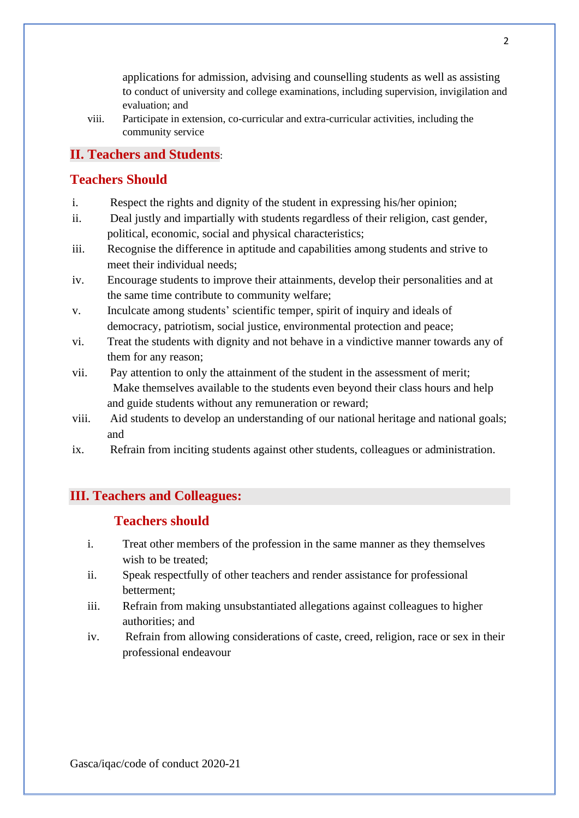applications for admission, advising and counselling students as well as assisting to conduct of university and college examinations, including supervision, invigilation and evaluation; and

viii. Participate in extension, co-curricular and extra-curricular activities, including the community service

# **II. Teachers and Students**:

## **Teachers Should**

- i. Respect the rights and dignity of the student in expressing his/her opinion;
- ii. Deal justly and impartially with students regardless of their religion, cast gender, political, economic, social and physical characteristics;
- iii. Recognise the difference in aptitude and capabilities among students and strive to meet their individual needs;
- iv. Encourage students to improve their attainments, develop their personalities and at the same time contribute to community welfare;
- v. Inculcate among students' scientific temper, spirit of inquiry and ideals of democracy, patriotism, social justice, environmental protection and peace;
- vi. Treat the students with dignity and not behave in a vindictive manner towards any of them for any reason;
- vii. Pay attention to only the attainment of the student in the assessment of merit; Make themselves available to the students even beyond their class hours and help and guide students without any remuneration or reward;
- viii. Aid students to develop an understanding of our national heritage and national goals; and
- ix. Refrain from inciting students against other students, colleagues or administration.

## **III. Teachers and Colleagues:**

#### **Teachers should**

- i. Treat other members of the profession in the same manner as they themselves wish to be treated;
- ii. Speak respectfully of other teachers and render assistance for professional betterment;
- iii. Refrain from making unsubstantiated allegations against colleagues to higher authorities; and
- iv. Refrain from allowing considerations of caste, creed, religion, race or sex in their professional endeavour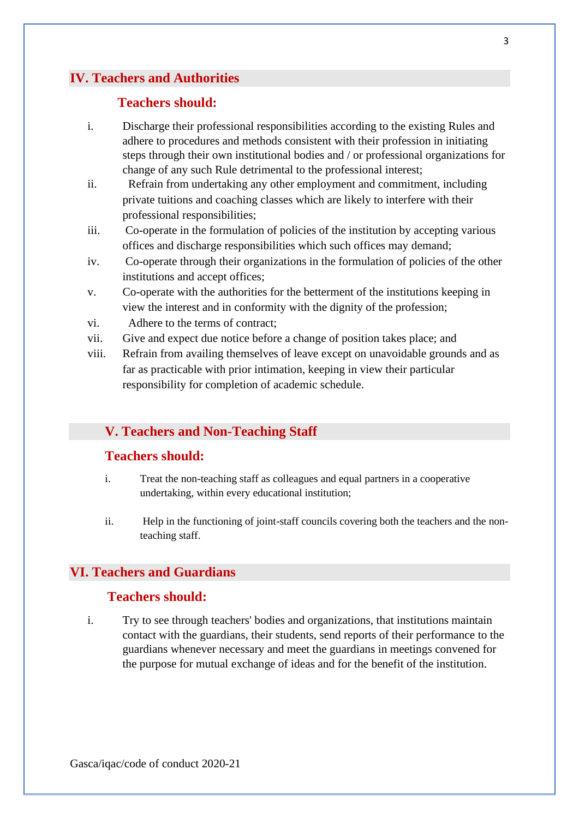### **IV. Teachers and Authorities**

### **Teachers should:**

- i. Discharge their professional responsibilities according to the existing Rules and adhere to procedures and methods consistent with their profession in initiating steps through their own institutional bodies and / or professional organizations for change of any such Rule detrimental to the professional interest;
- ii. Refrain from undertaking any other employment and commitment, including private tuitions and coaching classes which are likely to interfere with their professional responsibilities;
- iii. Co-operate in the formulation of policies of the institution by accepting various offices and discharge responsibilities which such offices may demand;
- iv. Co-operate through their organizations in the formulation of policies of the other institutions and accept offices;
- v. Co-operate with the authorities for the betterment of the institutions keeping in view the interest and in conformity with the dignity of the profession;
- vi. Adhere to the terms of contract;
- vii. Give and expect due notice before a change of position takes place; and
- viii. Refrain from availing themselves of leave except on unavoidable grounds and as far as practicable with prior intimation, keeping in view their particular responsibility for completion of academic schedule.

#### **V. Teachers and Non-Teaching Staff**

#### **Teachers should:**

- i. Treat the non-teaching staff as colleagues and equal partners in a cooperative undertaking, within every educational institution;
- ii. Help in the functioning of joint-staff councils covering both the teachers and the nonteaching staff.

### **VI. Teachers and Guardians**

#### **Teachers should:**

i. Try to see through teachers' bodies and organizations, that institutions maintain contact with the guardians, their students, send reports of their performance to the guardians whenever necessary and meet the guardians in meetings convened for the purpose for mutual exchange of ideas and for the benefit of the institution.